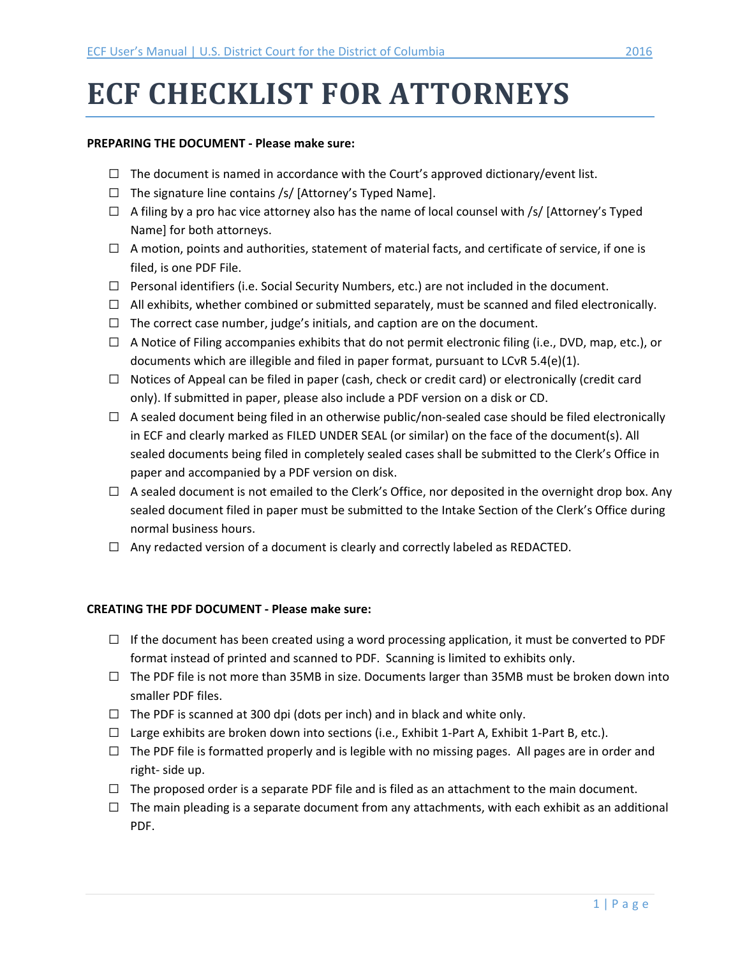# **ECF CHECKLIST FOR ATTORNEYS**

#### **PREPARING THE DOCUMENT - Please make sure:**

- $\Box$  The document is named in accordance with the Court's approved dictionary/event list.
- $\Box$  The signature line contains /s/ [Attorney's Typed Name].
- $\Box$  A filing by a pro hac vice attorney also has the name of local counsel with /s/ [Attorney's Typed Name] for both attorneys.
- $\Box$  A motion, points and authorities, statement of material facts, and certificate of service, if one is filed, is one PDF File.
- $\Box$  Personal identifiers (i.e. Social Security Numbers, etc.) are not included in the document.
- $\Box$  All exhibits, whether combined or submitted separately, must be scanned and filed electronically.
- $\Box$  The correct case number, judge's initials, and caption are on the document.
- $\Box$  A Notice of Filing accompanies exhibits that do not permit electronic filing (i.e., DVD, map, etc.), or documents which are illegible and filed in paper format, pursuant to LCvR 5.4(e)(1).
- $\Box$  Notices of Appeal can be filed in paper (cash, check or credit card) or electronically (credit card only). If submitted in paper, please also include a PDF version on a disk or CD.
- $\Box$  A sealed document being filed in an otherwise public/non-sealed case should be filed electronically in ECF and clearly marked as FILED UNDER SEAL (or similar) on the face of the document(s). All sealed documents being filed in completely sealed cases shall be submitted to the Clerk's Office in paper and accompanied by a PDF version on disk.
- $\Box$  A sealed document is not emailed to the Clerk's Office, nor deposited in the overnight drop box. Any sealed document filed in paper must be submitted to the Intake Section of the Clerk's Office during normal business hours.
- $\Box$  Any redacted version of a document is clearly and correctly labeled as REDACTED.

### **CREATING THE PDF DOCUMENT - Please make sure:**

- $\Box$  If the document has been created using a word processing application, it must be converted to PDF format instead of printed and scanned to PDF. Scanning is limited to exhibits only.
- $\Box$  The PDF file is not more than 35MB in size. Documents larger than 35MB must be broken down into smaller PDF files.
- $\Box$  The PDF is scanned at 300 dpi (dots per inch) and in black and white only.
- $\Box$  Large exhibits are broken down into sections (i.e., Exhibit 1-Part A, Exhibit 1-Part B, etc.).
- $\Box$  The PDF file is formatted properly and is legible with no missing pages. All pages are in order and right- side up.
- $\Box$  The proposed order is a separate PDF file and is filed as an attachment to the main document.
- $\Box$  The main pleading is a separate document from any attachments, with each exhibit as an additional PDF.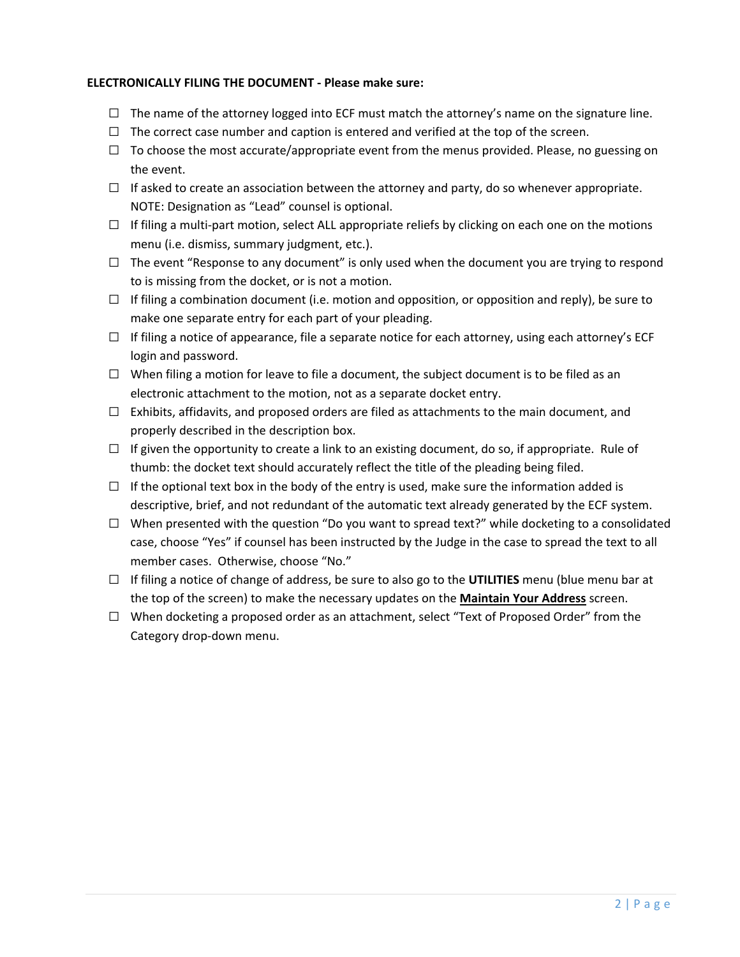## **ELECTRONICALLY FILING THE DOCUMENT - Please make sure:**

- $\Box$  The name of the attorney logged into ECF must match the attorney's name on the signature line.
- $\Box$  The correct case number and caption is entered and verified at the top of the screen.
- $\Box$  To choose the most accurate/appropriate event from the menus provided. Please, no guessing on the event.
- $\Box$  If asked to create an association between the attorney and party, do so whenever appropriate. NOTE: Designation as "Lead" counsel is optional.
- $\Box$  If filing a multi-part motion, select ALL appropriate reliefs by clicking on each one on the motions menu (i.e. dismiss, summary judgment, etc.).
- $\Box$  The event "Response to any document" is only used when the document you are trying to respond to is missing from the docket, or is not a motion.
- $\Box$  If filing a combination document (i.e. motion and opposition, or opposition and reply), be sure to make one separate entry for each part of your pleading.
- $\Box$  If filing a notice of appearance, file a separate notice for each attorney, using each attorney's ECF login and password.
- $\Box$  When filing a motion for leave to file a document, the subject document is to be filed as an electronic attachment to the motion, not as a separate docket entry.
- $\Box$  Exhibits, affidavits, and proposed orders are filed as attachments to the main document, and properly described in the description box.
- $\Box$  If given the opportunity to create a link to an existing document, do so, if appropriate. Rule of thumb: the docket text should accurately reflect the title of the pleading being filed.
- $\Box$  If the optional text box in the body of the entry is used, make sure the information added is descriptive, brief, and not redundant of the automatic text already generated by the ECF system.
- $\Box$  When presented with the question "Do you want to spread text?" while docketing to a consolidated case, choose "Yes" if counsel has been instructed by the Judge in the case to spread the text to all member cases. Otherwise, choose "No."
- G If filing a notice of change of address, be sure to also go to the **UTILITIES** menu (blue menu bar at the top of the screen) to make the necessary updates on the **Maintain Your Address** screen.
- $\Box$  When docketing a proposed order as an attachment, select "Text of Proposed Order" from the Category drop-down menu.